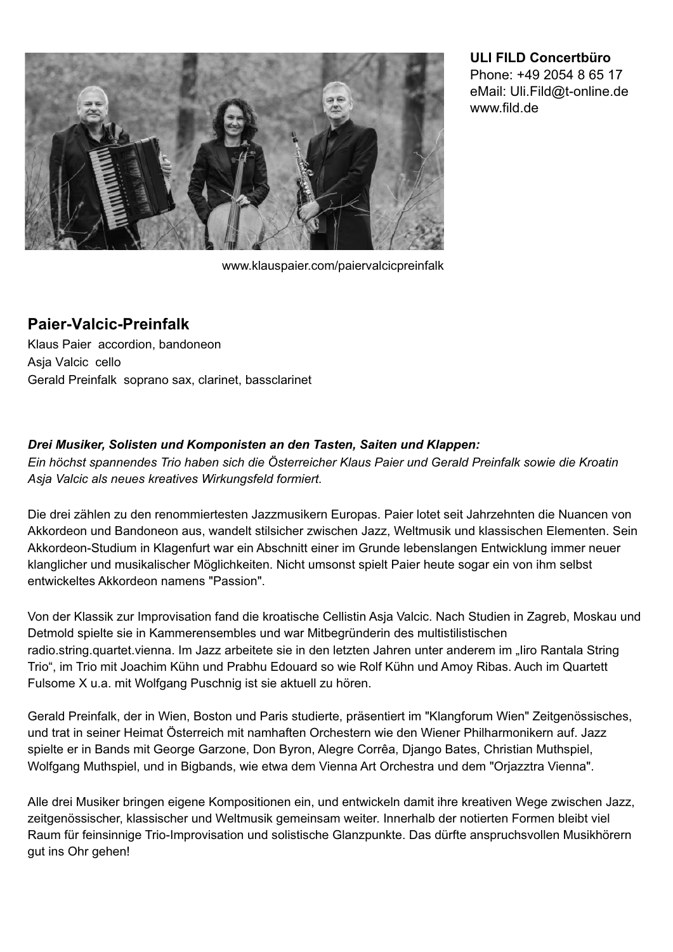

**ULI FILD Concertbüro** Phone: +49 2054 8 65 17 eMail: Uli.Fild@t-online.de www.fild.de

www.klauspaier.com/paiervalcicpreinfalk

## **Paier-Valcic-Preinfalk**

Klaus Paier accordion, bandoneon Asja Valcic cello Gerald Preinfalk soprano sax, clarinet, bassclarinet

## *Drei Musiker, Solisten und Komponisten an den Tasten, Saiten und Klappen:*

*Ein höchst spannendes Trio haben sich die Österreicher Klaus Paier und Gerald Preinfalk sowie die Kroatin Asja Valcic als neues kreatives Wirkungsfeld formiert.*

Die drei zählen zu den renommiertesten Jazzmusikern Europas. Paier lotet seit Jahrzehnten die Nuancen von Akkordeon und Bandoneon aus, wandelt stilsicher zwischen Jazz, Weltmusik und klassischen Elementen. Sein Akkordeon-Studium in Klagenfurt war ein Abschnitt einer im Grunde lebenslangen Entwicklung immer neuer klanglicher und musikalischer Möglichkeiten. Nicht umsonst spielt Paier heute sogar ein von ihm selbst entwickeltes Akkordeon namens "Passion".

Von der Klassik zur Improvisation fand die kroatische Cellistin Asja Valcic. Nach Studien in Zagreb, Moskau und Detmold spielte sie in Kammerensembles und war Mitbegründerin des multistilistischen radio.string.quartet.vienna. Im Jazz arbeitete sie in den letzten Jahren unter anderem im "liro Rantala String Trio", im Trio mit Joachim Kühn und Prabhu Edouard so wie Rolf Kühn und Amoy Ribas. Auch im Quartett Fulsome X u.a. mit Wolfgang Puschnig ist sie aktuell zu hören.

Gerald Preinfalk, der in Wien, Boston und Paris studierte, präsentiert im "Klangforum Wien" Zeitgenössisches, und trat in seiner Heimat Österreich mit namhaften Orchestern wie den Wiener Philharmonikern auf. Jazz spielte er in Bands mit George Garzone, Don Byron, Alegre Corrêa, Django Bates, Christian Muthspiel, Wolfgang Muthspiel, und in Bigbands, wie etwa dem Vienna Art Orchestra und dem "Orjazztra Vienna".

Alle drei Musiker bringen eigene Kompositionen ein, und entwickeln damit ihre kreativen Wege zwischen Jazz, zeitgenössischer, klassischer und Weltmusik gemeinsam weiter. Innerhalb der notierten Formen bleibt viel Raum für feinsinnige Trio-Improvisation und solistische Glanzpunkte. Das dürfte anspruchsvollen Musikhörern gut ins Ohr gehen!